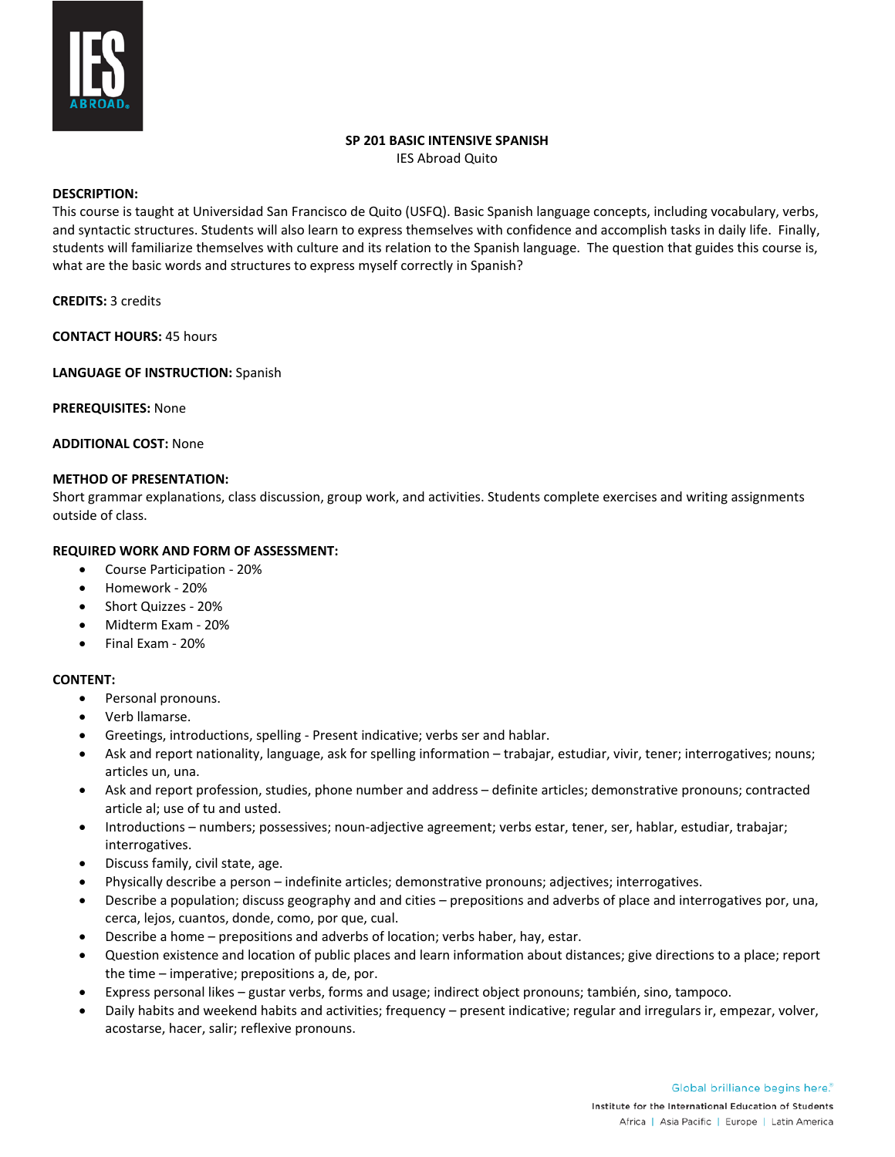

#### **SP 201 BASIC INTENSIVE SPANISH**

IES Abroad Quito

## **DESCRIPTION:**

This course is taught at Universidad San Francisco de Quito (USFQ). Basic Spanish language concepts, including vocabulary, verbs, and syntactic structures. Students will also learn to express themselves with confidence and accomplish tasks in daily life. Finally, students will familiarize themselves with culture and its relation to the Spanish language. The question that guides this course is, what are the basic words and structures to express myself correctly in Spanish?

**CREDITS:** 3 credits

**CONTACT HOURS:** 45 hours

**LANGUAGE OF INSTRUCTION:** Spanish

**PREREQUISITES:** None

**ADDITIONAL COST:** None

#### **METHOD OF PRESENTATION:**

Short grammar explanations, class discussion, group work, and activities. Students complete exercises and writing assignments outside of class.

## **REQUIRED WORK AND FORM OF ASSESSMENT:**

- Course Participation 20%
- Homework 20%
- Short Quizzes 20%
- Midterm Exam 20%
- Final Exam 20%

## **CONTENT:**

- Personal pronouns.
- Verb llamarse.
- Greetings, introductions, spelling Present indicative; verbs ser and hablar.
- Ask and report nationality, language, ask for spelling information trabajar, estudiar, vivir, tener; interrogatives; nouns; articles un, una.
- Ask and report profession, studies, phone number and address definite articles; demonstrative pronouns; contracted article al; use of tu and usted.
- Introductions numbers; possessives; noun-adjective agreement; verbs estar, tener, ser, hablar, estudiar, trabajar; interrogatives.
- Discuss family, civil state, age.
- Physically describe a person indefinite articles; demonstrative pronouns; adjectives; interrogatives.
- Describe a population; discuss geography and and cities prepositions and adverbs of place and interrogatives por, una, cerca, lejos, cuantos, donde, como, por que, cual.
- Describe a home prepositions and adverbs of location; verbs haber, hay, estar.
- Question existence and location of public places and learn information about distances; give directions to a place; report the time – imperative; prepositions a, de, por.
- Express personal likes gustar verbs, forms and usage; indirect object pronouns; también, sino, tampoco.
- Daily habits and weekend habits and activities; frequency present indicative; regular and irregulars ir, empezar, volver, acostarse, hacer, salir; reflexive pronouns.